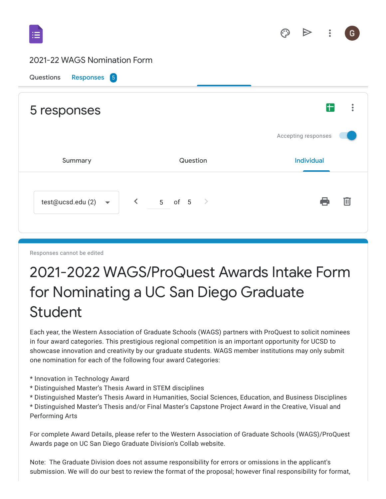### 2021-22 WAGS Nomination Form



Responses cannot be edited

# 2021-2022 WAGS/ProQuest Awards Intake Form for Nominating a UC San Diego Graduate Student

Each year, the Western Association of Graduate Schools (WAGS) partners with ProQuest to solicit nominees in four award categories. This prestigious regional competition is an important opportunity for UCSD to showcase innovation and creativity by our graduate students. WAGS member institutions may only submit one nomination for each of the following four award Categories:

- \* Innovation in Technology Award
- \* Distinguished Master's Thesis Award in STEM disciplines
- \* Distinguished Master's Thesis Award in Humanities, Social Sciences, Education, and Business Disciplines
- \* Distinguished Master's Thesis and/or Final Master's Capstone Project Award in the Creative, Visual and Performing Arts

For complete Award Details, please refer to the Western Association of Graduate Schools (WAGS)/ProQuest Awards page on UC San Diego Graduate Division's Collab website.

Note: The Graduate Division does not assume responsibility for errors or omissions in the applicant's submission. We will do our best to review the format of the proposal; however final responsibility for format,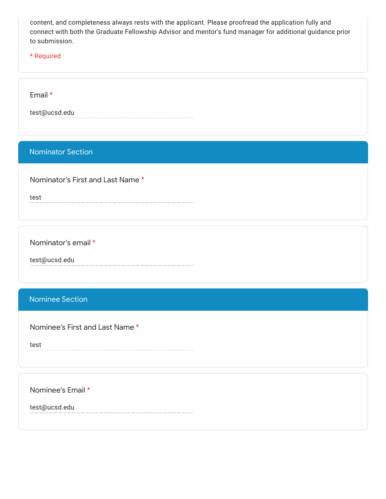content, and completeness always rests with the applicant. Please proofread the application fully and connect with both the Graduate Fellowship Advisor and mentor's fund manager for additional guidance prior to submission.

\* Required

Email \*

test@ucsd.edu

#### Nominator Section

Nominator's First and Last Name \*

test

Nominator's email \*

test@ucsd.edu

### Nominee Section

Nominee's First and Last Name \*

test

Nominee's Email \*

test@ucsd.edu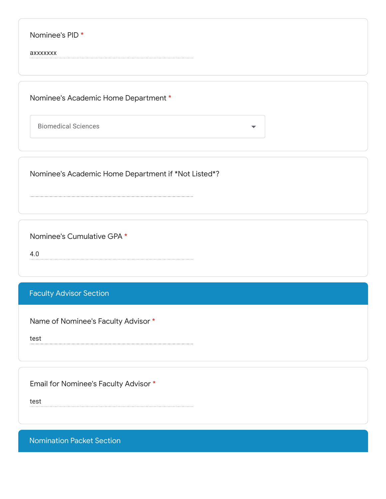| Nominee's PID <sup>*</sup>           |  |  |
|--------------------------------------|--|--|
| axxxxxxx                             |  |  |
|                                      |  |  |
| Nominee's Academic Home Department * |  |  |
|                                      |  |  |

Biomedical Sciences

Nominee's Academic Home Department if \*Not Listed\*?

Nominee's Cumulative GPA \*

4.0

## Faculty Advisor Section

Name of Nominee's Faculty Advisor \*

test

Email for Nominee's Faculty Advisor \*

test

Nomination Packet Section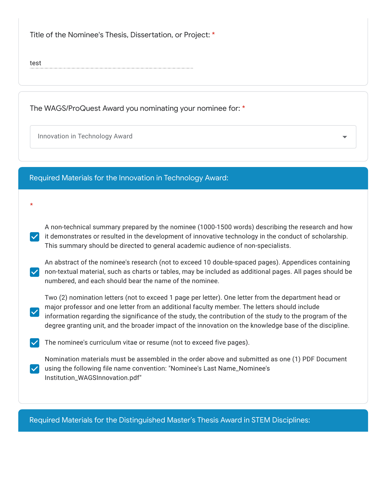Title of the Nominee's Thesis, Dissertation, or Project: \*

test

\*

 $\blacktriangledown$ 

The WAGS/ProQuest Award you nominating your nominee for: \*

Innovation in Technology Award

Required Materials for the Innovation in Technology Award:

A non-technical summary prepared by the nominee (1000-1500 words) describing the research and how  $\vee$  it demonstrates or resulted in the development of innovative technology in the conduct of scholarship. This summary should be directed to general academic audience of non-specialists.

An abstract of the nominee's research (not to exceed 10 double-spaced pages). Appendices containing non-textual material, such as charts or tables, may be included as additional pages. All pages should be numbered, and each should bear the name of the nominee.

Two (2) nomination letters (not to exceed 1 page per letter). One letter from the department head or major professor and one letter from an additional faculty member. The letters should include information regarding the significance of the study, the contribution of the study to the program of the degree granting unit, and the broader impact of the innovation on the knowledge base of the discipline.

 $\vee$  The nominee's curriculum vitae or resume (not to exceed five pages).

Nomination materials must be assembled in the order above and submitted as one (1) PDF Document  $\vee$  using the following file name convention: "Nominee's Last Name\_Nominee's Institution\_WAGSInnovation.pdf"

Required Materials for the Distinguished Master's Thesis Award in STEM Disciplines: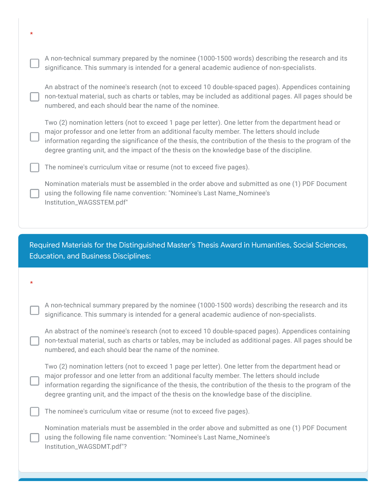| * |                                                                                                                                                                                                                                                                                                                                                                                                                   |
|---|-------------------------------------------------------------------------------------------------------------------------------------------------------------------------------------------------------------------------------------------------------------------------------------------------------------------------------------------------------------------------------------------------------------------|
|   | A non-technical summary prepared by the nominee (1000-1500 words) describing the research and its<br>significance. This summary is intended for a general academic audience of non-specialists.                                                                                                                                                                                                                   |
|   | An abstract of the nominee's research (not to exceed 10 double-spaced pages). Appendices containing<br>non-textual material, such as charts or tables, may be included as additional pages. All pages should be<br>numbered, and each should bear the name of the nominee.                                                                                                                                        |
|   | Two (2) nomination letters (not to exceed 1 page per letter). One letter from the department head or<br>major professor and one letter from an additional faculty member. The letters should include<br>information regarding the significance of the thesis, the contribution of the thesis to the program of the<br>degree granting unit, and the impact of the thesis on the knowledge base of the discipline. |
|   | The nominee's curriculum vitae or resume (not to exceed five pages).                                                                                                                                                                                                                                                                                                                                              |
|   | Nomination materials must be assembled in the order above and submitted as one (1) PDF Document<br>using the following file name convention: "Nominee's Last Name_Nominee's<br>Institution_WAGSSTEM.pdf"                                                                                                                                                                                                          |
|   |                                                                                                                                                                                                                                                                                                                                                                                                                   |
|   |                                                                                                                                                                                                                                                                                                                                                                                                                   |
|   |                                                                                                                                                                                                                                                                                                                                                                                                                   |
|   | Required Materials for the Distinguished Master's Thesis Award in Humanities, Social Sciences,<br><b>Education, and Business Disciplines:</b>                                                                                                                                                                                                                                                                     |
|   |                                                                                                                                                                                                                                                                                                                                                                                                                   |
| * |                                                                                                                                                                                                                                                                                                                                                                                                                   |
|   | A non-technical summary prepared by the nominee (1000-1500 words) describing the research and its<br>significance. This summary is intended for a general academic audience of non-specialists.                                                                                                                                                                                                                   |
|   | An abstract of the nominee's research (not to exceed 10 double-spaced pages). Appendices containing<br>non-textual material, such as charts or tables, may be included as additional pages. All pages should be<br>numbered, and each should bear the name of the nominee.                                                                                                                                        |
|   | Two (2) nomination letters (not to exceed 1 page per letter). One letter from the department head or<br>major professor and one letter from an additional faculty member. The letters should include<br>information regarding the significance of the thesis, the contribution of the thesis to the program of the<br>degree granting unit, and the impact of the thesis on the knowledge base of the discipline. |
|   | The nominee's curriculum vitae or resume (not to exceed five pages).                                                                                                                                                                                                                                                                                                                                              |